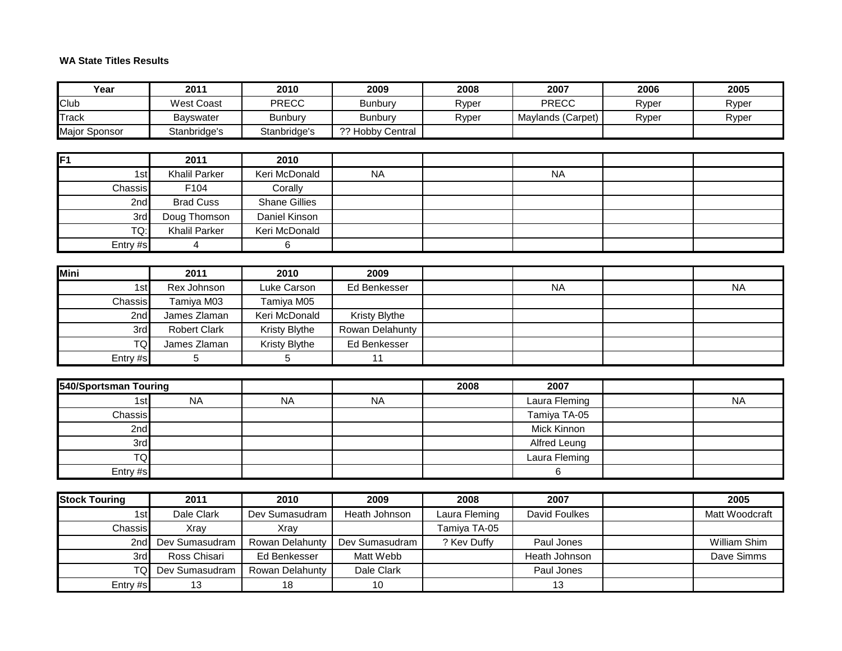## **WA State Titles Results**

| Year                  | 2011                 | 2010                 | 2009             | 2008          | 2007                 | 2006  | 2005           |
|-----------------------|----------------------|----------------------|------------------|---------------|----------------------|-------|----------------|
| Club                  | <b>West Coast</b>    | <b>PRECC</b>         | <b>Bunbury</b>   | Ryper         | <b>PRECC</b>         | Ryper | Ryper          |
| Track                 | Bayswater            | <b>Bunbury</b>       | <b>Bunbury</b>   | Ryper         | Maylands (Carpet)    | Ryper | Ryper          |
| Major Sponsor         | Stanbridge's         | Stanbridge's         | ?? Hobby Central |               |                      |       |                |
|                       |                      |                      |                  |               |                      |       |                |
| F1                    | 2011                 | 2010                 |                  |               |                      |       |                |
| 1st                   | <b>Khalil Parker</b> | Keri McDonald        | <b>NA</b>        |               | <b>NA</b>            |       |                |
| Chassis               | F104                 | Corally              |                  |               |                      |       |                |
| 2nd                   | <b>Brad Cuss</b>     | <b>Shane Gillies</b> |                  |               |                      |       |                |
| 3rd                   | Doug Thomson         | Daniel Kinson        |                  |               |                      |       |                |
| TQ:                   | <b>Khalil Parker</b> | Keri McDonald        |                  |               |                      |       |                |
| Entry #s              | $\overline{4}$       | 6                    |                  |               |                      |       |                |
|                       |                      |                      |                  |               |                      |       |                |
| <b>Mini</b>           | 2011                 | 2010                 | 2009             |               |                      |       |                |
| 1st                   | Rex Johnson          | Luke Carson          | Ed Benkesser     |               | <b>NA</b>            |       | <b>NA</b>      |
| Chassis               | Tamiya M03           | Tamiya M05           |                  |               |                      |       |                |
| 2 <sub>nd</sub>       | James Zlaman         | Keri McDonald        | Kristy Blythe    |               |                      |       |                |
| 3rd                   | <b>Robert Clark</b>  | Kristy Blythe        | Rowan Delahunty  |               |                      |       |                |
| <b>TQ</b>             | James Zlaman         | Kristy Blythe        | Ed Benkesser     |               |                      |       |                |
| Entry #s              | $\overline{5}$       | 5                    | 11               |               |                      |       |                |
| 540/Sportsman Touring |                      |                      |                  | 2008          | 2007                 |       |                |
| 1st                   | <b>NA</b>            | <b>NA</b>            | <b>NA</b>        |               | Laura Fleming        |       | <b>NA</b>      |
| Chassis               |                      |                      |                  |               | Tamiya TA-05         |       |                |
| 2nd                   |                      |                      |                  |               | Mick Kinnon          |       |                |
| 3rd                   |                      |                      |                  |               | Alfred Leung         |       |                |
| <b>TQ</b>             |                      |                      |                  |               | Laura Fleming        |       |                |
| Entry #s              |                      |                      |                  |               | 6                    |       |                |
|                       |                      |                      |                  |               |                      |       |                |
| <b>Stock Touring</b>  | 2011                 | 2010                 | 2009             | 2008          | 2007                 |       | 2005           |
| 1st                   | Dale Clark           | Dev Sumasudram       | Heath Johnson    | Laura Fleming | <b>David Foulkes</b> |       | Matt Woodcraft |
| Chassis               | Xray                 | Xray                 |                  | Tamiya TA-05  |                      |       |                |
| 2nd                   | Dev Sumasudram       | Rowan Delahunty      | Dev Sumasudram   | ? Kev Duffy   | Paul Jones           |       | William Shim   |
| 3rd                   | Ross Chisari         | Ed Benkesser         | Matt Webb        |               | Heath Johnson        |       | Dave Simms     |
| <b>TQ</b>             | Dev Sumasudram       | Rowan Delahunty      | Dale Clark       |               | Paul Jones           |       |                |

Entry #s 13 18 10 10 10 13